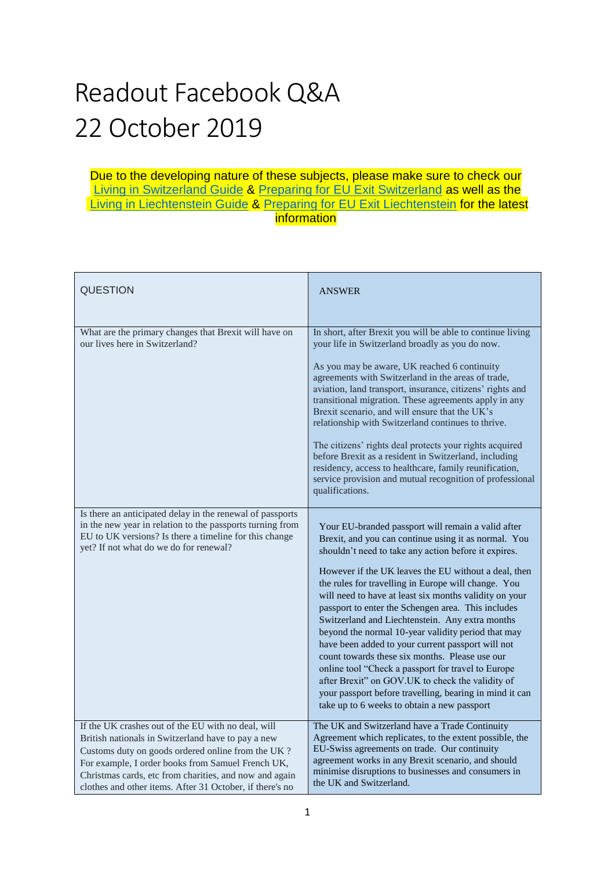## Readout Facebook Q&A 22 October 2019

## Due to the developing nature of these subjects, please make sure to check our [Living in Switzerland Guide](https://www.gov.uk/guidance/living-in-switzerland) & [Preparing for EU Exit Switzerland](https://www.gov.uk/guidance/preparing-for-eu-exit-switzerland) as well as the [Living in Liechtenstein Guide](https://www.gov.uk/guidance/living-in-liechtenstein) & [Preparing for EU Exit Liechtenstein](https://www.gov.uk/guidance/preparing-for-eu-exit-norway-iceland-and-liechtenstein) for the latest information

| <b>QUESTION</b>                                                                                                                                                                                                                                                                                                                          | <b>ANSWER</b>                                                                                                                                                                                                                                                                                                                                                                                                                                                                                                                                                                                                                                                                                                                                                                                                                         |
|------------------------------------------------------------------------------------------------------------------------------------------------------------------------------------------------------------------------------------------------------------------------------------------------------------------------------------------|---------------------------------------------------------------------------------------------------------------------------------------------------------------------------------------------------------------------------------------------------------------------------------------------------------------------------------------------------------------------------------------------------------------------------------------------------------------------------------------------------------------------------------------------------------------------------------------------------------------------------------------------------------------------------------------------------------------------------------------------------------------------------------------------------------------------------------------|
| What are the primary changes that Brexit will have on<br>our lives here in Switzerland?                                                                                                                                                                                                                                                  | In short, after Brexit you will be able to continue living<br>your life in Switzerland broadly as you do now.<br>As you may be aware, UK reached 6 continuity<br>agreements with Switzerland in the areas of trade,<br>aviation, land transport, insurance, citizens' rights and<br>transitional migration. These agreements apply in any<br>Brexit scenario, and will ensure that the UK's<br>relationship with Switzerland continues to thrive.<br>The citizens' rights deal protects your rights acquired<br>before Brexit as a resident in Switzerland, including<br>residency, access to healthcare, family reunification,<br>service provision and mutual recognition of professional<br>qualifications.                                                                                                                        |
| Is there an anticipated delay in the renewal of passports<br>in the new year in relation to the passports turning from<br>EU to UK versions? Is there a timeline for this change<br>yet? If not what do we do for renewal?                                                                                                               | Your EU-branded passport will remain a valid after<br>Brexit, and you can continue using it as normal. You<br>shouldn't need to take any action before it expires.<br>However if the UK leaves the EU without a deal, then<br>the rules for travelling in Europe will change. You<br>will need to have at least six months validity on your<br>passport to enter the Schengen area. This includes<br>Switzerland and Liechtenstein. Any extra months<br>beyond the normal 10-year validity period that may<br>have been added to your current passport will not<br>count towards these six months. Please use our<br>online tool "Check a passport for travel to Europe<br>after Brexit" on GOV.UK to check the validity of<br>your passport before travelling, bearing in mind it can<br>take up to 6 weeks to obtain a new passport |
| If the UK crashes out of the EU with no deal, will<br>British nationals in Switzerland have to pay a new<br>Customs duty on goods ordered online from the UK?<br>For example, I order books from Samuel French UK,<br>Christmas cards, etc from charities, and now and again<br>clothes and other items. After 31 October, if there's no | The UK and Switzerland have a Trade Continuity<br>Agreement which replicates, to the extent possible, the<br>EU-Swiss agreements on trade. Our continuity<br>agreement works in any Brexit scenario, and should<br>minimise disruptions to businesses and consumers in<br>the UK and Switzerland.                                                                                                                                                                                                                                                                                                                                                                                                                                                                                                                                     |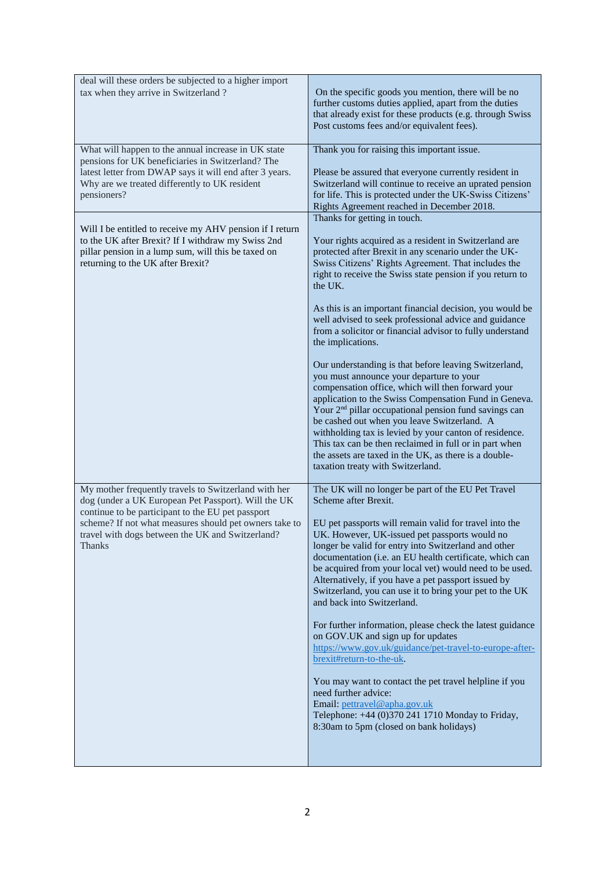| deal will these orders be subjected to a higher import<br>tax when they arrive in Switzerland?                                                                                                                                                                                                  | On the specific goods you mention, there will be no<br>further customs duties applied, apart from the duties<br>that already exist for these products (e.g. through Swiss<br>Post customs fees and/or equivalent fees).                                                                                                                                                                                                                                                                                                                                                                                                                                                                                                                                                                                                                                                                                                                                                                                                                      |
|-------------------------------------------------------------------------------------------------------------------------------------------------------------------------------------------------------------------------------------------------------------------------------------------------|----------------------------------------------------------------------------------------------------------------------------------------------------------------------------------------------------------------------------------------------------------------------------------------------------------------------------------------------------------------------------------------------------------------------------------------------------------------------------------------------------------------------------------------------------------------------------------------------------------------------------------------------------------------------------------------------------------------------------------------------------------------------------------------------------------------------------------------------------------------------------------------------------------------------------------------------------------------------------------------------------------------------------------------------|
| What will happen to the annual increase in UK state<br>pensions for UK beneficiaries in Switzerland? The<br>latest letter from DWAP says it will end after 3 years.<br>Why are we treated differently to UK resident<br>pensioners?                                                             | Thank you for raising this important issue.<br>Please be assured that everyone currently resident in<br>Switzerland will continue to receive an uprated pension<br>for life. This is protected under the UK-Swiss Citizens'<br>Rights Agreement reached in December 2018.                                                                                                                                                                                                                                                                                                                                                                                                                                                                                                                                                                                                                                                                                                                                                                    |
| Will I be entitled to receive my AHV pension if I return<br>to the UK after Brexit? If I withdraw my Swiss 2nd<br>pillar pension in a lump sum, will this be taxed on<br>returning to the UK after Brexit?                                                                                      | Thanks for getting in touch.<br>Your rights acquired as a resident in Switzerland are<br>protected after Brexit in any scenario under the UK-<br>Swiss Citizens' Rights Agreement. That includes the<br>right to receive the Swiss state pension if you return to<br>the UK.<br>As this is an important financial decision, you would be<br>well advised to seek professional advice and guidance<br>from a solicitor or financial advisor to fully understand<br>the implications.<br>Our understanding is that before leaving Switzerland,<br>you must announce your departure to your<br>compensation office, which will then forward your<br>application to the Swiss Compensation Fund in Geneva.<br>Your 2 <sup>nd</sup> pillar occupational pension fund savings can<br>be cashed out when you leave Switzerland. A<br>withholding tax is levied by your canton of residence.<br>This tax can be then reclaimed in full or in part when<br>the assets are taxed in the UK, as there is a double-<br>taxation treaty with Switzerland. |
| My mother frequently travels to Switzerland with her<br>dog (under a UK European Pet Passport). Will the UK<br>continue to be participant to the EU pet passport<br>scheme? If not what measures should pet owners take to<br>travel with dogs between the UK and Switzerland?<br><b>Thanks</b> | The UK will no longer be part of the EU Pet Travel<br>Scheme after Brexit.<br>EU pet passports will remain valid for travel into the<br>UK. However, UK-issued pet passports would no<br>longer be valid for entry into Switzerland and other<br>documentation (i.e. an EU health certificate, which can<br>be acquired from your local vet) would need to be used.<br>Alternatively, if you have a pet passport issued by<br>Switzerland, you can use it to bring your pet to the UK<br>and back into Switzerland.<br>For further information, please check the latest guidance<br>on GOV.UK and sign up for updates<br>https://www.gov.uk/guidance/pet-travel-to-europe-after-<br>brexit#return-to-the-uk.<br>You may want to contact the pet travel helpline if you<br>need further advice:<br>Email: pettravel@apha.gov.uk<br>Telephone: +44 (0)370 241 1710 Monday to Friday,<br>8:30am to 5pm (closed on bank holidays)                                                                                                                |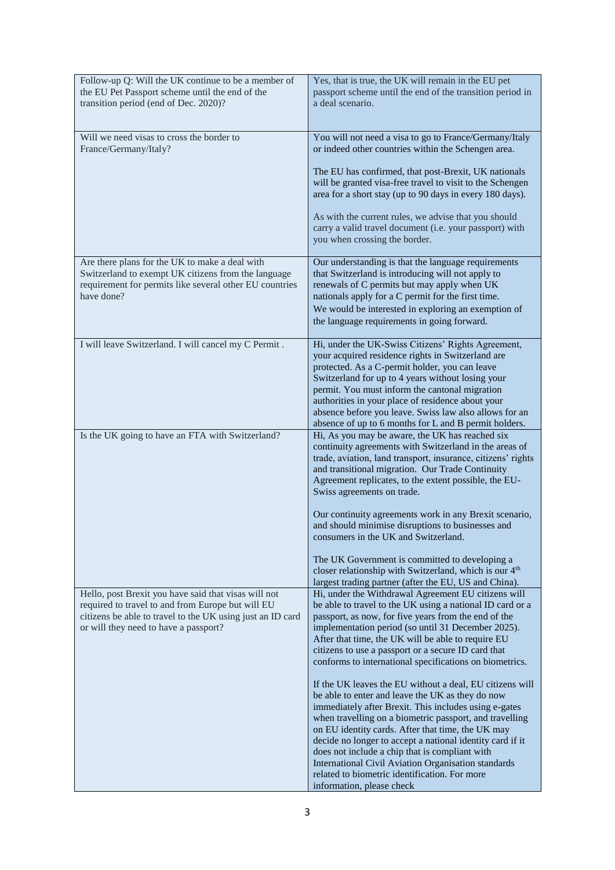| Follow-up Q: Will the UK continue to be a member of<br>the EU Pet Passport scheme until the end of the<br>transition period (end of Dec. 2020)?                                                                  | Yes, that is true, the UK will remain in the EU pet<br>passport scheme until the end of the transition period in<br>a deal scenario.                                                                                                                                                                                                                                                                                                                                                                                                             |
|------------------------------------------------------------------------------------------------------------------------------------------------------------------------------------------------------------------|--------------------------------------------------------------------------------------------------------------------------------------------------------------------------------------------------------------------------------------------------------------------------------------------------------------------------------------------------------------------------------------------------------------------------------------------------------------------------------------------------------------------------------------------------|
| Will we need visas to cross the border to<br>France/Germany/Italy?                                                                                                                                               | You will not need a visa to go to France/Germany/Italy<br>or indeed other countries within the Schengen area.                                                                                                                                                                                                                                                                                                                                                                                                                                    |
|                                                                                                                                                                                                                  | The EU has confirmed, that post-Brexit, UK nationals<br>will be granted visa-free travel to visit to the Schengen<br>area for a short stay (up to 90 days in every 180 days).                                                                                                                                                                                                                                                                                                                                                                    |
|                                                                                                                                                                                                                  | As with the current rules, we advise that you should<br>carry a valid travel document (i.e. your passport) with<br>you when crossing the border.                                                                                                                                                                                                                                                                                                                                                                                                 |
| Are there plans for the UK to make a deal with<br>Switzerland to exempt UK citizens from the language<br>requirement for permits like several other EU countries<br>have done?                                   | Our understanding is that the language requirements<br>that Switzerland is introducing will not apply to<br>renewals of C permits but may apply when UK<br>nationals apply for a C permit for the first time.                                                                                                                                                                                                                                                                                                                                    |
|                                                                                                                                                                                                                  | We would be interested in exploring an exemption of<br>the language requirements in going forward.                                                                                                                                                                                                                                                                                                                                                                                                                                               |
| I will leave Switzerland. I will cancel my C Permit.                                                                                                                                                             | Hi, under the UK-Swiss Citizens' Rights Agreement,<br>your acquired residence rights in Switzerland are<br>protected. As a C-permit holder, you can leave<br>Switzerland for up to 4 years without losing your<br>permit. You must inform the cantonal migration<br>authorities in your place of residence about your<br>absence before you leave. Swiss law also allows for an<br>absence of up to 6 months for L and B permit holders.                                                                                                         |
| Is the UK going to have an FTA with Switzerland?                                                                                                                                                                 | Hi, As you may be aware, the UK has reached six<br>continuity agreements with Switzerland in the areas of<br>trade, aviation, land transport, insurance, citizens' rights<br>and transitional migration. Our Trade Continuity<br>Agreement replicates, to the extent possible, the EU-<br>Swiss agreements on trade.                                                                                                                                                                                                                             |
|                                                                                                                                                                                                                  | Our continuity agreements work in any Brexit scenario,<br>and should minimise disruptions to businesses and<br>consumers in the UK and Switzerland.                                                                                                                                                                                                                                                                                                                                                                                              |
|                                                                                                                                                                                                                  | The UK Government is committed to developing a<br>closer relationship with Switzerland, which is our 4 <sup>th</sup><br>largest trading partner (after the EU, US and China).                                                                                                                                                                                                                                                                                                                                                                    |
| Hello, post Brexit you have said that visas will not<br>required to travel to and from Europe but will EU<br>citizens be able to travel to the UK using just an ID card<br>or will they need to have a passport? | Hi, under the Withdrawal Agreement EU citizens will<br>be able to travel to the UK using a national ID card or a<br>passport, as now, for five years from the end of the<br>implementation period (so until 31 December 2025).<br>After that time, the UK will be able to require EU<br>citizens to use a passport or a secure ID card that<br>conforms to international specifications on biometrics.                                                                                                                                           |
|                                                                                                                                                                                                                  | If the UK leaves the EU without a deal, EU citizens will<br>be able to enter and leave the UK as they do now<br>immediately after Brexit. This includes using e-gates<br>when travelling on a biometric passport, and travelling<br>on EU identity cards. After that time, the UK may<br>decide no longer to accept a national identity card if it<br>does not include a chip that is compliant with<br><b>International Civil Aviation Organisation standards</b><br>related to biometric identification. For more<br>information, please check |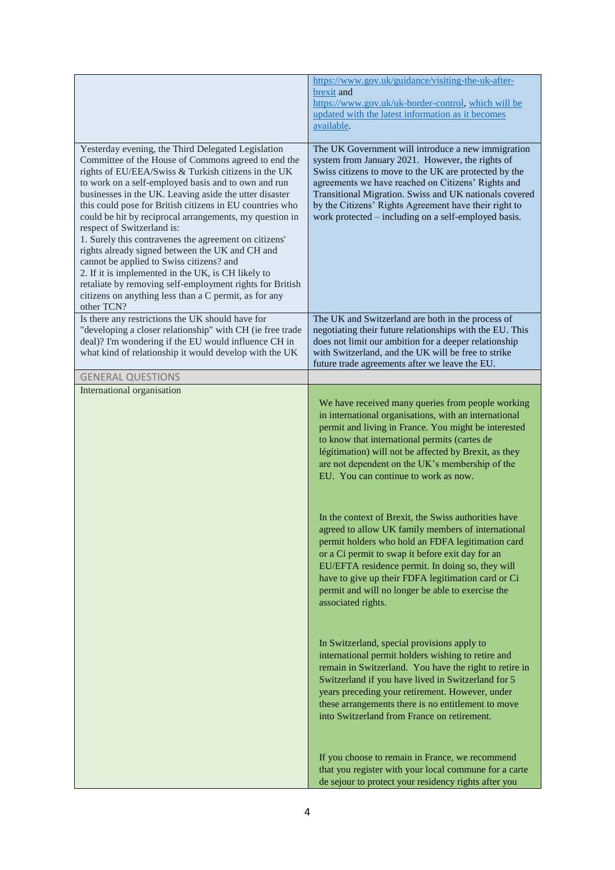|                                                                                                            | https://www.gov.uk/guidance/visiting-the-uk-after-                                                          |
|------------------------------------------------------------------------------------------------------------|-------------------------------------------------------------------------------------------------------------|
|                                                                                                            | brexit and                                                                                                  |
|                                                                                                            | https://www.gov.uk/uk-border-control, which will be<br>updated with the latest information as it becomes    |
|                                                                                                            | available.                                                                                                  |
| Yesterday evening, the Third Delegated Legislation                                                         | The UK Government will introduce a new immigration                                                          |
| Committee of the House of Commons agreed to end the                                                        | system from January 2021. However, the rights of                                                            |
| rights of EU/EEA/Swiss & Turkish citizens in the UK<br>to work on a self-employed basis and to own and run | Swiss citizens to move to the UK are protected by the<br>agreements we have reached on Citizens' Rights and |
| businesses in the UK. Leaving aside the utter disaster                                                     | Transitional Migration. Swiss and UK nationals covered                                                      |
| this could pose for British citizens in EU countries who                                                   | by the Citizens' Rights Agreement have their right to                                                       |
| could be hit by reciprocal arrangements, my question in                                                    | work protected – including on a self-employed basis.                                                        |
| respect of Switzerland is:                                                                                 |                                                                                                             |
| 1. Surely this contravenes the agreement on citizens'<br>rights already signed between the UK and CH and   |                                                                                                             |
| cannot be applied to Swiss citizens? and                                                                   |                                                                                                             |
| 2. If it is implemented in the UK, is CH likely to                                                         |                                                                                                             |
| retaliate by removing self-employment rights for British                                                   |                                                                                                             |
| citizens on anything less than a C permit, as for any<br>other TCN?                                        |                                                                                                             |
| Is there any restrictions the UK should have for                                                           | The UK and Switzerland are both in the process of                                                           |
| "developing a closer relationship" with CH (ie free trade                                                  | negotiating their future relationships with the EU. This                                                    |
| deal)? I'm wondering if the EU would influence CH in                                                       | does not limit our ambition for a deeper relationship                                                       |
| what kind of relationship it would develop with the UK                                                     | with Switzerland, and the UK will be free to strike<br>future trade agreements after we leave the EU.       |
| <b>GENERAL QUESTIONS</b>                                                                                   |                                                                                                             |
| International organisation                                                                                 |                                                                                                             |
|                                                                                                            | We have received many queries from people working                                                           |
|                                                                                                            | in international organisations, with an international                                                       |
|                                                                                                            | permit and living in France. You might be interested                                                        |
|                                                                                                            | to know that international permits (cartes de<br>légitimation) will not be affected by Brexit, as they      |
|                                                                                                            | are not dependent on the UK's membership of the                                                             |
|                                                                                                            | EU. You can continue to work as now.                                                                        |
|                                                                                                            |                                                                                                             |
|                                                                                                            | In the context of Brexit, the Swiss authorities have                                                        |
|                                                                                                            | agreed to allow UK family members of international                                                          |
|                                                                                                            | permit holders who hold an FDFA legitimation card                                                           |
|                                                                                                            | or a Ci permit to swap it before exit day for an                                                            |
|                                                                                                            | EU/EFTA residence permit. In doing so, they will                                                            |
|                                                                                                            | have to give up their FDFA legitimation card or Ci                                                          |
|                                                                                                            | permit and will no longer be able to exercise the                                                           |
|                                                                                                            | associated rights.                                                                                          |
|                                                                                                            |                                                                                                             |
|                                                                                                            | In Switzerland, special provisions apply to                                                                 |
|                                                                                                            | international permit holders wishing to retire and                                                          |
|                                                                                                            | remain in Switzerland. You have the right to retire in                                                      |
|                                                                                                            | Switzerland if you have lived in Switzerland for 5<br>years preceding your retirement. However, under       |
|                                                                                                            | these arrangements there is no entitlement to move                                                          |
|                                                                                                            | into Switzerland from France on retirement.                                                                 |
|                                                                                                            |                                                                                                             |
|                                                                                                            | If you choose to remain in France, we recommend                                                             |
|                                                                                                            | that you register with your local commune for a carte                                                       |
|                                                                                                            | de sejour to protect your residency rights after you                                                        |